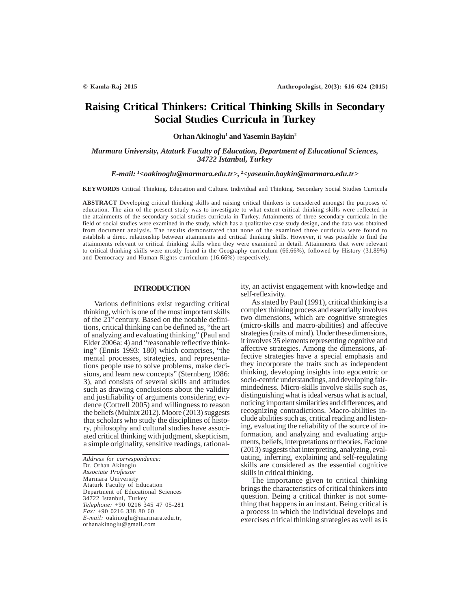# **Raising Critical Thinkers: Critical Thinking Skills in Secondary Social Studies Curricula in Turkey**

### Orhan Akinoglu<sup>1</sup> and Yasemin Baykin<sup>2</sup>

## *Marmara University, Ataturk Faculty of Education, Department of Educational Sciences, 34722 Istanbul, Turkey*

### *E-mail: 1 <oakinoglu@marmara.edu.tr>, 2 <yasemin.baykin@marmara.edu.tr>*

**KEYWORDS** Critical Thinking. Education and Culture. Individual and Thinking. Secondary Social Studies Curricula

**ABSTRACT** Developing critical thinking skills and raising critical thinkers is considered amongst the purposes of education. The aim of the present study was to investigate to what extent critical thinking skills were reflected in the attainments of the secondary social studies curricula in Turkey. Attainments of three secondary curricula in the field of social studies were examined in the study, which has a qualitative case study design, and the data was obtained from document analysis. The results demonstrated that none of the examined three curricula were found to establish a direct relationship between attainments and critical thinking skills. However, it was possible to find the attainments relevant to critical thinking skills when they were examined in detail. Attainments that were relevant to critical thinking skills were mostly found in the Geography curriculum (66.66%), followed by History (31.89%) and Democracy and Human Rights curriculum (16.66%) respectively.

#### **INTRODUCTION**

Various definitions exist regarding critical thinking, which is one of the most important skills of the  $21$ <sup>st</sup> century. Based on the notable definitions, critical thinking can be defined as, "the art of analyzing and evaluating thinking" (Paul and Elder 2006a: 4) and "reasonable reflective thinking" (Ennis 1993: 180) which comprises, "the mental processes, strategies, and representations people use to solve problems, make decisions, and learn new concepts" (Sternberg 1986: 3), and consists of several skills and attitudes such as drawing conclusions about the validity and justifiability of arguments considering evidence (Cottrell 2005) and willingness to reason the beliefs (Mulnix 2012). Moore  $(2013)$  suggests that scholars who study the disciplines of history, philosophy and cultural studies have associated critical thinking with judgment, skepticism, a simple originality, sensitive readings, rational-

*Address for correspondence:* Dr. Orhan Akinoglu *Associate Professor* Marmara University Ataturk Faculty of Education Department of Educational Sciences 34722 Istanbul, Turkey *Telephone:* +90 0216 345 47 05-281 *Fax:* +90 0216 338 80 60 *E-mail:* oakinoglu@marmara.edu.tr, orhanakinoglu@gmail.com

ity, an activist engagement with knowledge and self-reflexivity.

As stated by Paul (1991), critical thinking is a complex thinking process and essentially involves two dimensions, which are cognitive strategies (micro-skills and macro-abilities) and affective strategies (traits of mind). Under these dimensions, it involves 35 elements representing cognitive and affective strategies. Among the dimensions, affective strategies have a special emphasis and they incorporate the traits such as independent thinking, developing insights into egocentric or socio-centric understandings, and developing fairmindedness. Micro-skills involve skills such as, distinguishing what is ideal versus what is actual, noticing important similarities and differences, and recognizing contradictions. Macro-abilities include abilities such as, critical reading and listening, evaluating the reliability of the source of information, and analyzing and evaluating arguments, beliefs, interpretations or theories. Facione (2013) suggests that interpreting, analyzing, evaluating, inferring, explaining and self-regulating skills are considered as the essential cognitive skills in critical thinking.

The importance given to critical thinking brings the characteristics of critical thinkers into question. Being a critical thinker is not something that happens in an instant. Being critical is a process in which the individual develops and exercises critical thinking strategies as well as is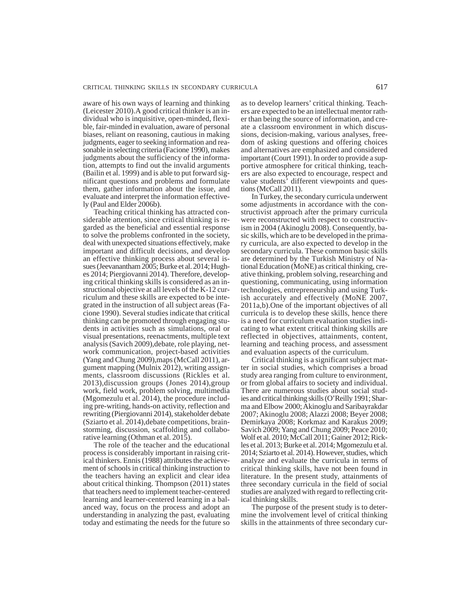aware of his own ways of learning and thinking (Leicester 2010).A good critical thinker is an individual who is inquisitive, open-minded, flexible, fair-minded in evaluation, aware of personal biases, reliant on reasoning, cautious in making judgments, eager to seeking information and reasonable in selecting criteria (Facione 1990), makes judgments about the sufficiency of the information, attempts to find out the invalid arguments (Bailin et al. 1999) and is able to put forward significant questions and problems and formulate them, gather information about the issue, and evaluate and interpret the information effectively (Paul and Elder 2006b).

Teaching critical thinking has attracted considerable attention, since critical thinking is regarded as the beneficial and essential response to solve the problems confronted in the society, deal with unexpected situations effectively, make important and difficult decisions, and develop an effective thinking process about several issues (Jeevanantham 2005; Burke et al. 2014; Hughes 2014; Piergiovanni 2014). Therefore, developing critical thinking skills is considered as an instructional objective at all levels of the K-12 curriculum and these skills are expected to be integrated in the instruction of all subject areas (Facione 1990). Several studies indicate that critical thinking can be promoted through engaging students in activities such as simulations, oral or visual presentations, reenactments, multiple text analysis (Savich 2009),debate, role playing, network communication, project-based activities (Yang and Chung 2009),maps (McCall 2011), argument mapping (Mulnix 2012), writing assignments, classroom discussions (Rickles et al. 2013),discussion groups (Jones 2014),group work, field work, problem solving, multimedia (Mgomezulu et al. 2014), the procedure including pre-writing, hands-on activity, reflection and rewriting (Piergiovanni 2014), stakeholder debate (Sziarto et al. 2014),debate competitions, brainstorming, discussion, scaffolding and collaborative learning (Othman et al. 2015).

The role of the teacher and the educational process is considerably important in raising critical thinkers. Ennis (1988) attributes the achievement of schools in critical thinking instruction to the teachers having an explicit and clear idea about critical thinking. Thompson (2011) states that teachers need to implement teacher-centered learning and learner-centered learning in a balanced way, focus on the process and adopt an understanding in analyzing the past, evaluating today and estimating the needs for the future so as to develop learners' critical thinking. Teachers are expected to be an intellectual mentor rather than being the source of information, and create a classroom environment in which discussions, decision-making, various analyses, freedom of asking questions and offering choices and alternatives are emphasized and considered important (Court 1991). In order to provide a supportive atmosphere for critical thinking, teachers are also expected to encourage, respect and value students' different viewpoints and questions (McCall 2011).

In Turkey, the secondary curricula underwent some adjustments in accordance with the constructivist approach after the primary curricula were reconstructed with respect to constructivism in 2004 (Akinoglu 2008). Consequently, basic skills, which are to be developed in the primary curricula, are also expected to develop in the secondary curricula. These common basic skills are determined by the Turkish Ministry of National Education (MoNE) as critical thinking, creative thinking, problem solving, researching and questioning, communicating, using information technologies, entrepreneurship and using Turkish accurately and effectively (MoNE 2007, 2011a,b).One of the important objectives of all curricula is to develop these skills, hence there is a need for curriculum evaluation studies indicating to what extent critical thinking skills are reflected in objectives, attainments, content, learning and teaching process, and assessment and evaluation aspects of the curriculum.

Critical thinking is a significant subject matter in social studies, which comprises a broad study area ranging from culture to environment, or from global affairs to society and individual. There are numerous studies about social studies and critical thinking skills (O'Reilly 1991; Sharma and Elbow 2000; Akinoglu and Saribayrakdar 2007; Akinoglu 2008; Alazzi 2008; Beyer 2008; Demirkaya 2008; Korkmaz and Karakus 2009; Savich 2009; Yang and Chung 2009; Peace 2010; Wolf et al. 2010; McCall 2011; Gainer 2012; Rickles et al. 2013; Burke et al. 2014; Mgomezulu et al. 2014; Sziarto et al. 2014). However, studies, which analyze and evaluate the curricula in terms of critical thinking skills, have not been found in literature. In the present study, attainments of three secondary curricula in the field of social studies are analyzed with regard to reflecting critical thinking skills.

The purpose of the present study is to determine the involvement level of critical thinking skills in the attainments of three secondary cur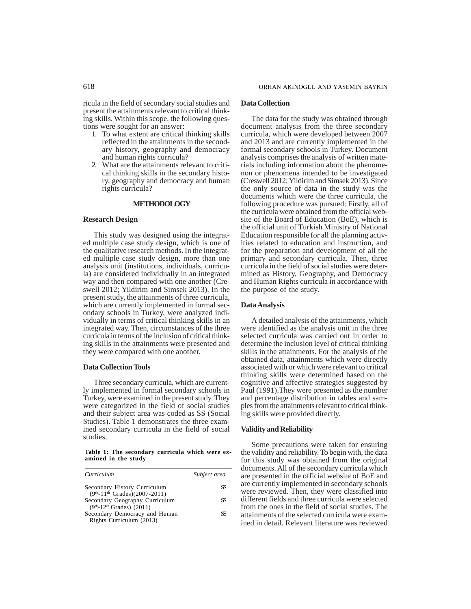ricula in the field of secondary social studies and present the attainments relevant to critical thinking skills. Within this scope, the following questions were sought for an answer:

- 1. To what extent are critical thinking skills reflected in the attainments in the secondary history, geography and democracy and human rights curricula?
- 2. What are the attainments relevant to critical thinking skills in the secondary history, geography and democracy and human rights curricula?

#### **METHODOLOGY**

### **Research Design**

This study was designed using the integrated multiple case study design, which is one of the qualitative research methods. In the integrated multiple case study design, more than one analysis unit (institutions, individuals, curricula) are considered individually in an integrated way and then compared with one another (Creswell 2012; Yildirim and Simsek 2013). In the present study, the attainments of three curricula, which are currently implemented in formal secondary schools in Turkey, were analyzed individually in terms of critical thinking skills in an integrated way. Then, circumstances of the three curricula in terms of the inclusion of critical thinking skills in the attainments were presented and they were compared with one another.

#### **Data Collection Tools**

Three secondary curricula, which are currently implemented in formal secondary schools in Turkey, were examined in the present study. They were categorized in the field of social studies and their subject area was coded as SS (Social Studies). Table 1 demonstrates the three examined secondary curricula in the field of social studies.

**Table 1: The secondary curricula which were examined in the study**

| Curriculum                                                     | Subject area |
|----------------------------------------------------------------|--------------|
| Secondary History Curriculum<br>$(9th-11th$ Grades)(2007-2011) |              |
| Secondary Geography Curriculum<br>$(9th-12th Grades)$ (2011)   | ∾            |
| Secondary Democracy and Human<br>Rights Curriculum (2013)      |              |

#### **Data Collection**

The data for the study was obtained through document analysis from the three secondary curricula, which were developed between 2007 and 2013 and are currently implemented in the formal secondary schools in Turkey. Document analysis comprises the analysis of written materials including information about the phenomenon or phenomena intended to be investigated (Creswell 2012; Yildirim and Simsek 2013). Since the only source of data in the study was the documents which were the three curricula, the following procedure was pursued: Firstly, all of the curricula were obtained from the official website of the Board of Education (BoE), which is the official unit of Turkish Ministry of National Education responsible for all the planning activities related to education and instruction, and for the preparation and development of all the primary and secondary curricula. Then, three curricula in the field of social studies were determined as History, Geography, and Democracy and Human Rights curricula in accordance with the purpose of the study.

### **Data Analysis**

A detailed analysis of the attainments, which were identified as the analysis unit in the three selected curricula was carried out in order to determine the inclusion level of critical thinking skills in the attainments. For the analysis of the obtained data, attainments which were directly associated with or which were relevant to critical thinking skills were determined based on the cognitive and affective strategies suggested by Paul (1991).They were presented as the number and percentage distribution in tables and samples from the attainments relevant to critical thinking skills were provided directly.

#### **Validity and Reliability**

Some precautions were taken for ensuring the validity and reliability. To begin with, the data for this study was obtained from the original documents. All of the secondary curricula which are presented in the official website of BoE and are currently implemented in secondary schools were reviewed. Then, they were classified into different fields and three curricula were selected from the ones in the field of social studies. The attainments of the selected curricula were examined in detail. Relevant literature was reviewed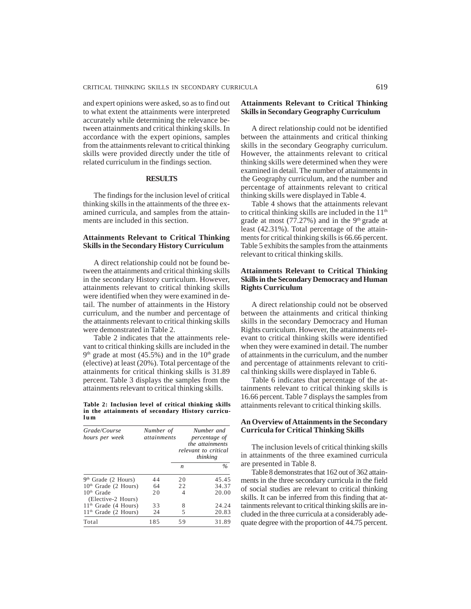and expert opinions were asked, so as to find out to what extent the attainments were interpreted accurately while determining the relevance between attainments and critical thinking skills. In accordance with the expert opinions, samples from the attainments relevant to critical thinking skills were provided directly under the title of related curriculum in the findings section.

### **RESULTS**

The findings for the inclusion level of critical thinking skills in the attainments of the three examined curricula, and samples from the attainments are included in this section.

## **Attainments Relevant to Critical Thinking Skills in the Secondary History Curriculum**

A direct relationship could not be found between the attainments and critical thinking skills in the secondary History curriculum. However, attainments relevant to critical thinking skills were identified when they were examined in detail. The number of attainments in the History curriculum, and the number and percentage of the attainments relevant to critical thinking skills were demonstrated in Table 2.

Table 2 indicates that the attainments relevant to critical thinking skills are included in the  $9<sup>th</sup>$  grade at most (45.5%) and in the  $10<sup>th</sup>$  grade (elective) at least (20%). Total percentage of the attainments for critical thinking skills is 31.89 percent. Table 3 displays the samples from the attainments relevant to critical thinking skills.

**Table 2: Inclusion level of critical thinking skills in the attainments of secondary History curriculum**

| Grade/Course<br>hours per week     | Number of<br><i>attainments</i> | Number and<br>percentage of<br>the attainments<br>relevant to critical<br>thinking |       |
|------------------------------------|---------------------------------|------------------------------------------------------------------------------------|-------|
|                                    |                                 | n                                                                                  | $\%$  |
| $9th$ Grade (2 Hours)              | 44                              | 20                                                                                 | 45.45 |
| $10th$ Grade (2 Hours)             | 64                              | 22                                                                                 | 34.37 |
| $10th$ Grade<br>(Elective-2 Hours) | 20                              | 4                                                                                  | 20.00 |
| $11th$ Grade (4 Hours)             | 33                              | 8                                                                                  | 24.24 |
| $11th$ Grade (2 Hours)             | 24                              | 5                                                                                  | 20.83 |
| Total                              | 185                             | 59                                                                                 | 31.89 |

## **Attainments Relevant to Critical Thinking Skills in Secondary Geography Curriculum**

A direct relationship could not be identified between the attainments and critical thinking skills in the secondary Geography curriculum. However, the attainments relevant to critical thinking skills were determined when they were examined in detail. The number of attainments in the Geography curriculum, and the number and percentage of attainments relevant to critical thinking skills were displayed in Table 4.

Table 4 shows that the attainments relevant to critical thinking skills are included in the  $11<sup>th</sup>$ grade at most  $(77.27%)$  and in the 9<sup>th</sup> grade at least (42.31%). Total percentage of the attainments for critical thinking skills is 66.66 percent. Table 5 exhibits the samples from the attainments relevant to critical thinking skills.

## **Attainments Relevant to Critical Thinking Skills in the Secondary Democracy and Human Rights Curriculum**

A direct relationship could not be observed between the attainments and critical thinking skills in the secondary Democracy and Human Rights curriculum. However, the attainments relevant to critical thinking skills were identified when they were examined in detail. The number of attainments in the curriculum, and the number and percentage of attainments relevant to critical thinking skills were displayed in Table 6.

Table 6 indicates that percentage of the attainments relevant to critical thinking skills is 16.66 percent. Table 7 displays the samples from attainments relevant to critical thinking skills.

## **An Overview of Attainments in the Secondary Curricula for Critical Thinking Skills**

The inclusion levels of critical thinking skills in attainments of the three examined curricula are presented in Table 8.

Table 8 demonstrates that 162 out of 362 attainments in the three secondary curricula in the field of social studies are relevant to critical thinking skills. It can be inferred from this finding that attainments relevant to critical thinking skills are included in the three curricula at a considerably adequate degree with the proportion of 44.75 percent.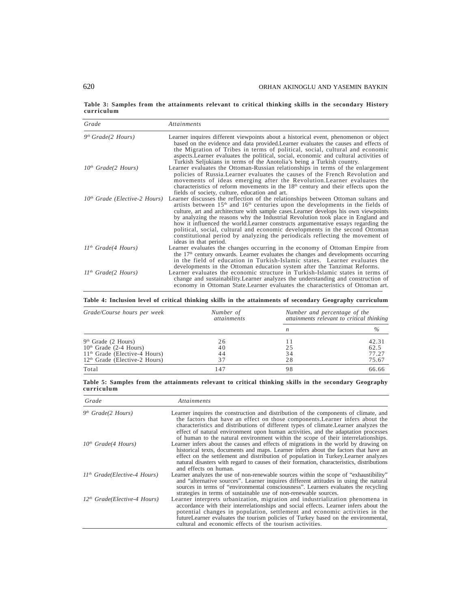**Table 3: Samples from the attainments relevant to critical thinking skills in the secondary History curriculum**

| Grade                           | <b>Attainments</b>                                                                                                                                                                                                                                                                                                                                                                                                                                                                                                                                                                                                                 |
|---------------------------------|------------------------------------------------------------------------------------------------------------------------------------------------------------------------------------------------------------------------------------------------------------------------------------------------------------------------------------------------------------------------------------------------------------------------------------------------------------------------------------------------------------------------------------------------------------------------------------------------------------------------------------|
| 9 <sup>th</sup> Grade(2 Hours)  | Learner inquires different viewpoints about a historical event, phenomenon or object<br>based on the evidence and data provided. Learner evaluates the causes and effects of<br>the Migration of Tribes in terms of political, social, cultural and economic<br>aspects. Learner evaluates the political, social, economic and cultural activities of<br>Turkish Seljukians in terms of the Anotolia's being a Turkish country.                                                                                                                                                                                                    |
| $10th$ Grade(2 Hours)           | Learner evaluates the Ottoman-Russian relationships in terms of the enlargement<br>policies of Russia. Learner evaluates the causes of the French Revolution and<br>movements of ideas emerging after the Revolution. Learner evaluates the<br>characteristics of reform movements in the $18th$ century and their effects upon the<br>fields of society, culture, education and art.                                                                                                                                                                                                                                              |
| $10th$ Grade (Elective-2 Hours) | Learner discusses the reflection of the relationships between Ottoman sultans and<br>artists between $15th$ and $16th$ centuries upon the developments in the fields of<br>culture, art and architecture with sample cases. Learner develops his own viewpoints<br>by analyzing the reasons why the Industrial Revolution took place in England and<br>how it influenced the world. Learner constructs argumentative essays regarding the<br>political, social, cultural and economic developments in the second Ottoman<br>constitutional period by analyzing the periodicals reflecting the movement of<br>ideas in that period. |
| $11th$ Grade(4 Hours)           | Learner evaluates the changes occurring in the economy of Ottoman Empire from<br>the $17th$ century onwards. Learner evaluates the changes and developments occurring<br>in the field of education in Turkish-Islamic states. Learner evaluates the<br>developments in the Ottoman education system after the Tanzimat Reforms.                                                                                                                                                                                                                                                                                                    |
| $11th$ Grade(2 Hours)           | Learner evaluates the economic structure in Turkish-Islamic states in terms of<br>change and sustainability. Learner analyzes the understanding and construction of<br>economy in Ottoman State. Learner evaluates the characteristics of Ottoman art.                                                                                                                                                                                                                                                                                                                                                                             |

## **Table 4: Inclusion level of critical thinking skills in the attainments of secondary Geography curriculum**

| Grade/Course hours per week     | Number of<br><i>attainments</i> |    | Number and percentage of the<br>attainments relevant to critical thinking |  |
|---------------------------------|---------------------------------|----|---------------------------------------------------------------------------|--|
|                                 |                                 | n  | $\%$                                                                      |  |
| $9th$ Grade (2 Hours)           | 26                              | 11 | 42.31                                                                     |  |
| $10th$ Grade (2-4 Hours)        | 40                              | 25 | 62.5                                                                      |  |
| $11th$ Grade (Elective-4 Hours) | 44                              | 34 | 77.27                                                                     |  |
| $12th$ Grade (Elective-2 Hours) | 37                              | 28 | 75.67                                                                     |  |
| Total                           | 47                              | 98 | 66.66                                                                     |  |

#### **Table 5: Samples from the attainments relevant to critical thinking skills in the secondary Geography curriculum**

| Grade                          | <i>Attainments</i>                                                                                                                                                                                                                                                                                                                                                                                                                       |
|--------------------------------|------------------------------------------------------------------------------------------------------------------------------------------------------------------------------------------------------------------------------------------------------------------------------------------------------------------------------------------------------------------------------------------------------------------------------------------|
| $9th$ Grade(2 Hours)           | Learner inquires the construction and distribution of the components of climate, and<br>the factors that have an effect on those components. Learner infers about the<br>characteristics and distributions of different types of climate. Learner analyzes the<br>effect of natural environment upon human activities, and the adaptation processes<br>of human to the natural environment within the scope of their interrelationships. |
| $10th$ Grade(4 Hours)          | Learner infers about the causes and effects of migrations in the world by drawing on<br>historical texts, documents and maps. Learner infers about the factors that have an<br>effect on the settlement and distribution of population in Turkey. Learner analyzes<br>natural disasters with regard to causes of their formation, characteristics, distributions<br>and effects on human.                                                |
| $11th$ Grade(Elective-4 Hours) | Learner analyzes the use of non-renewable sources within the scope of "exhaustibility"<br>and "alternative sources". Learner inquires different attitudes in using the natural<br>sources in terms of "environmental consciousness". Learners evaluates the recycling<br>strategies in terms of sustainable use of non-renewable sources.                                                                                                |
| $12th$ Grade(Elective-4 Hours) | Learner interprets urbanization, migration and industrialization phenomena in<br>accordance with their interrelationships and social effects. Learner infers about the<br>potential changes in population, settlement and economic activities in the<br>futureLearner evaluates the tourism policies of Turkey based on the environmental,<br>cultural and economic effects of the tourism activities.                                   |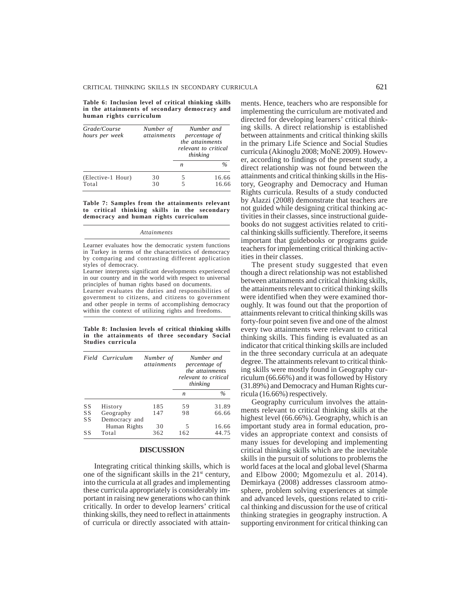**Table 6: Inclusion level of critical thinking skills in the attainments of secondary democracy and human rights curriculum**

| Grade/Course<br>hours per week | Number of<br><i>attainments</i> | Number and<br>percentage of<br>the attainments<br>relevant to critical<br>thinking |       |
|--------------------------------|---------------------------------|------------------------------------------------------------------------------------|-------|
|                                |                                 | n                                                                                  |       |
| (Elective-1 Hour)              | 30                              | 5                                                                                  | 16.66 |
| Total                          | 30                              |                                                                                    | 16.66 |

**Table 7: Samples from the attainments relevant to critical thinking skills in the secondary democracy and human rights curriculum**

#### *Attainments*

Learner evaluates how the democratic system functions in Turkey in terms of the characteristics of democracy by comparing and contrasting different application styles of democracy.

Learner interprets significant developments experienced in our country and in the world with respect to universal principles of human rights based on documents.

Learner evaluates the duties and responsibilities of government to citizens, and citizens to government and other people in terms of accomplishing democracy within the context of utilizing rights and freedoms.

**Table 8: Inclusion levels of critical thinking skills in the attainments of three secondary Social Studies curricula**

|           | Field Curriculum | Number of<br><i>attainments</i> | Number and<br>percentage of<br>the attainments<br>relevant to critical<br>thinking |       |
|-----------|------------------|---------------------------------|------------------------------------------------------------------------------------|-------|
|           |                  |                                 | n                                                                                  | $\%$  |
| <b>SS</b> | History          | 185                             | 59                                                                                 | 31.89 |
| SS.       | Geography        | 147                             | 98                                                                                 | 66.66 |
| <b>SS</b> | Democracy and    |                                 |                                                                                    |       |
|           | Human Rights     | 30                              | 5                                                                                  | 16.66 |
| S S       | Total            | 362                             | 162                                                                                | 44.75 |

### **DISCUSSION**

Integrating critical thinking skills, which is one of the significant skills in the  $21<sup>st</sup>$  century, into the curricula at all grades and implementing these curricula appropriately is considerably important in raising new generations who can think critically. In order to develop learners' critical thinking skills, they need to reflect in attainments of curricula or directly associated with attainments. Hence, teachers who are responsible for implementing the curriculum are motivated and directed for developing learners' critical thinking skills. A direct relationship is established between attainments and critical thinking skills in the primary Life Science and Social Studies curricula (Akinoglu 2008; MoNE 2009). However, according to findings of the present study, a direct relationship was not found between the attainments and critical thinking skills in the History, Geography and Democracy and Human Rights curricula. Results of a study conducted by Alazzi (2008) demonstrate that teachers are not guided while designing critical thinking activities in their classes, since instructional guidebooks do not suggest activities related to critical thinking skills sufficiently. Therefore, it seems important that guidebooks or programs guide teachers for implementing critical thinking activities in their classes.

The present study suggested that even though a direct relationship was not established between attainments and critical thinking skills, the attainments relevant to critical thinking skills were identified when they were examined thoroughly. It was found out that the proportion of attainments relevant to critical thinking skills was forty-four point seven five and one of the almost every two attainments were relevant to critical thinking skills. This finding is evaluated as an indicator that critical thinking skills are included in the three secondary curricula at an adequate degree. The attainments relevant to critical thinking skills were mostly found in Geography curriculum (66.66%) and it was followed by History (31.89%) and Democracy and Human Rights curricula (16.66%) respectively.

Geography curriculum involves the attainments relevant to critical thinking skills at the highest level (66.66%). Geography, which is an important study area in formal education, provides an appropriate context and consists of many issues for developing and implementing critical thinking skills which are the inevitable skills in the pursuit of solutions to problems the world faces at the local and global level (Sharma and Elbow 2000; Mgomezulu et al. 2014). Demirkaya (2008) addresses classroom atmosphere, problem solving experiences at simple and advanced levels, questions related to critical thinking and discussion for the use of critical thinking strategies in geography instruction. A supporting environment for critical thinking can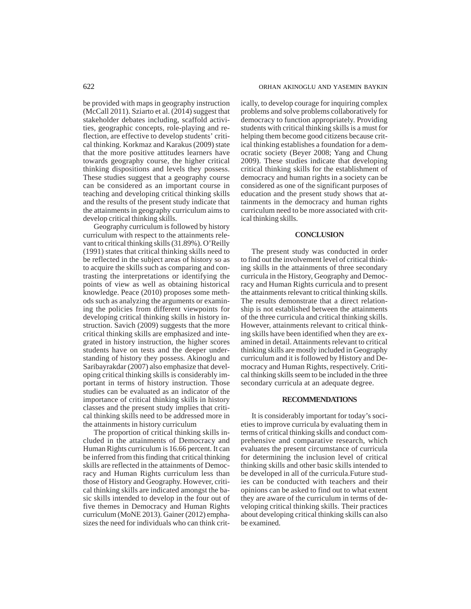be provided with maps in geography instruction (McCall 2011). Sziarto et al. (2014) suggest that stakeholder debates including, scaffold activities, geographic concepts, role-playing and reflection, are effective to develop students' critical thinking. Korkmaz and Karakus (2009) state that the more positive attitudes learners have towards geography course, the higher critical thinking dispositions and levels they possess. These studies suggest that a geography course can be considered as an important course in teaching and developing critical thinking skills and the results of the present study indicate that the attainments in geography curriculum aims to develop critical thinking skills.

Geography curriculum is followed by history curriculum with respect to the attainments relevant to critical thinking skills (31.89%). O'Reilly (1991) states that critical thinking skills need to be reflected in the subject areas of history so as to acquire the skills such as comparing and contrasting the interpretations or identifying the points of view as well as obtaining historical knowledge. Peace (2010) proposes some methods such as analyzing the arguments or examining the policies from different viewpoints for developing critical thinking skills in history instruction. Savich (2009) suggests that the more critical thinking skills are emphasized and integrated in history instruction, the higher scores students have on tests and the deeper understanding of history they possess. Akinoglu and Saribayrakdar (2007) also emphasize that developing critical thinking skills is considerably important in terms of history instruction. Those studies can be evaluated as an indicator of the importance of critical thinking skills in history classes and the present study implies that critical thinking skills need to be addressed more in the attainments in history curriculum

The proportion of critical thinking skills included in the attainments of Democracy and Human Rights curriculum is 16.66 percent. It can be inferred from this finding that critical thinking skills are reflected in the attainments of Democracy and Human Rights curriculum less than those of History and Geography. However, critical thinking skills are indicated amongst the basic skills intended to develop in the four out of five themes in Democracy and Human Rights curriculum (MoNE 2013). Gainer (2012) emphasizes the need for individuals who can think critically, to develop courage for inquiring complex problems and solve problems collaboratively for democracy to function appropriately. Providing students with critical thinking skills is a must for helping them become good citizens because critical thinking establishes a foundation for a democratic society (Beyer 2008; Yang and Chung 2009). These studies indicate that developing critical thinking skills for the establishment of democracy and human rights in a society can be considered as one of the significant purposes of education and the present study shows that attainments in the democracy and human rights curriculum need to be more associated with critical thinking skills.

#### **CONCLUSION**

The present study was conducted in order to find out the involvement level of critical thinking skills in the attainments of three secondary curricula in the History, Geography and Democracy and Human Rights curricula and to present the attainments relevant to critical thinking skills. The results demonstrate that a direct relationship is not established between the attainments of the three curricula and critical thinking skills. However, attainments relevant to critical thinking skills have been identified when they are examined in detail. Attainments relevant to critical thinking skills are mostly included in Geography curriculum and it is followed by History and Democracy and Human Rights, respectively. Critical thinking skills seem to be included in the three secondary curricula at an adequate degree.

#### **RECOMMENDATIONS**

It is considerably important for today's societies to improve curricula by evaluating them in terms of critical thinking skills and conduct comprehensive and comparative research, which evaluates the present circumstance of curricula for determining the inclusion level of critical thinking skills and other basic skills intended to be developed in all of the curricula.Future studies can be conducted with teachers and their opinions can be asked to find out to what extent they are aware of the curriculum in terms of developing critical thinking skills. Their practices about developing critical thinking skills can also be examined.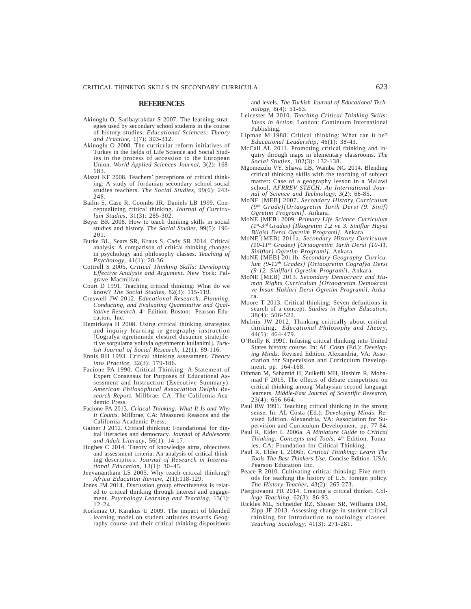#### **REFERENCES**

- Akinoglu O, Saribayrakdar S 2007. The learning strategies used by secondary school students in the course of history studies. *Educational Sciences: Theory and Practice*, 1(7): 303-312.
- Akinoglu O 2008. The curricular reform initiatives of Turkey in the fields of Life Science and Social Studies in the process of accession to the European Union. *World Applied Sciences Journal*, 3(2): 168- 183.
- Alazzi KF 2008. Teachers' perceptions of critical thinking: A study of Jordanian secondary school social studies teachers. *The Social Studies*, 99(6): 243- 248.
- Bailin S, Case R, Coombs JR, Daniels LB 1999. Conceptualizing critical thinking. *Journal of Curriculum Studies*, 31(3): 285-302.
- Beyer BK 2008. How to teach thinking skills in social studies and history. *The Social Studies*, 99(5): 196- 201.
- Burke BL, Sears SR, Kraus S, Cady SR 2014. Critical analysis: A comparison of critical thinking changes in psychology and philosophy classes. *Teaching of Psychology*, 41(1): 28-36.
- Cottrell S 2005. *Critical Thinking Skills: Developing Effective Analysis and Argument*. New York: Palgrave Macmillan.
- Court D 1991. Teaching critical thinking: What do we know? *The Social Studies*, 82(3): 115-119.
- Creswell JW 2012. *Educational Research: Planning, Conducting, and Evaluating Quantitative and Qualitative Research*. 4<sup>th</sup> Edition. Boston: Pearson Education, Inc.
- Demirkaya H 2008. Using critical thinking strategies and inquiry learning in geography instruction [Cografya ogretiminde elestirel dusunme stratejileri ve sorgulama yoluyla ogrenmenin kullanimi]. *Turkish Journal of Social Research,* 12(1): 89-116.
- Ennis RH 1993. Critical thinking assessment. *Theory into Practice,* 32(3): 179-186.
- Facione PA 1990. Critical Thinking: A Statement of Expert Consensus for Purposes of Educational Assessment and Instruction (Executive Summary). *American Philosophical Association Delphi Research Report.* Millbrae, CA: The California Academic Press.
- Facione PA 2013. *Critical Thinking: What It Is and Why It Counts*. Millbrae, CA: Measured Reasons and the California Academic Press.
- Gainer J 2012. Critical thinking: Foundational for digital literacies and democracy. *Journal of Adolescent and Adult Literacy*, 56(1): 14-17.
- Hughes C 2014. Theory of knowledge aims, objectives and assessment criteria: An analysis of critical thinking descriptors. *Journal of Research in International Education*, 13(1): 30–45.
- Jeevanantham LS 2005. Why teach critical thinking? *Africa Education Review*, 2(1):118-129.
- Jones JM 2014. Discussion group effectiveness is related to critical thinking through interest and engagement. *Psychology Learning and Teaching*, 13(1): 12-24.
- Korkmaz O, Karakus U 2009. The impact of blended learning model on student attitudes towards Geography course and their critical thinking dispositions

and levels. *The Turkish Journal of Educational Technology,* 8(4): 51-63.

- Leicester M 2010. *Teaching Critical Thinking Skills: Ideas in Action*. London: Continuum International Publishing.
- Lipman M 1988. Critical thinking: What can it be? *Educational Leadership*, 46(1): 38-43.
- McCall AL 2011. Promoting critical thinking and inquiry through maps in elementary classrooms. *The Social Studies*, 102(3): 132-138.
- Mgomezulu VY, Shawa LB, Wamba NG 2014. Blending critical thinking skills with the teaching of subject matter: Case of a geography lesson in a Malawi school. *AFRREV STECH: An International Journal of Science and Technology,* 3(2): 66-85.
- MoNE [MEB] 2007. *Secondary History Curriculum (9th Grade)[Ortaogretim Tarih Dersi (9. Sinif) Ogretim Programi]*. Ankara.
- MoNE [MEB] 2009. *Primary Life Science Curriculum (1st-3rd Grades) [Ilkogretim 1,2 ve 3. Siniflar Hayat Bilgisi Dersi Ogretim Programi].* Ankara.
- MoNE [MEB] 2011a. *Secondary History Curriculum (10-11th Grades) [Ortaogretim Tarih Dersi (10-11. Siniflar) Ogretim Programi]*. Ankara.
- MoNE [MEB] 2011b. *Secondary Geography Curriculum (9-12th Grades) [Ortaogretim Cografya Dersi (9-12. Siniflar) Ogretim Programi]*. Ankara.
- MoNE [MEB] 2013. *Secondary Democracy and Human Rights Curriculum [Ortaogretim Demokrasi ve Insan Haklari Dersi Ogretim Programi]*. Ankara.
- Moore T 2013. Critical thinking: Seven definitions in search of a concept. *Studies in Higher Education,* 38(4): 506-522.
- Mulnix JW 2012. Thinking critically about critical thinking. *Educational Philosophy and Theory*, 44(5): 464-479.
- O'Reilly K 1991. Infusing critical thinking into United States history course. In: AL Costa (Ed.): *Developing Minds*. Revised Edition. Alexandria, VA: Association for Supervision and Curriculum Development, pp. 164-168.
- Othman M, Sahamid H, Zulkefli MH, Hashim R, Mohamad F 2015. The effects of debate competition on critical thinking among Malaysian second language learners. *Middle-East Journal of Scientific Research*, 23(4): 656-664.
- Paul RW 1991. Teaching critical thinking in the strong sense. In: AL Costa (Ed.): *Developing Minds*. Revised Edition. Alexandria, VA: Association for Supervision and Curriculum Development, pp. 77-84.
- Paul R, Elder L 2006a. *A Miniature Guide to Critical Thinking: Concepts and Tools*. 4th Edition. Tomales, CA: Foundation for Critical Thinking.
- Paul R, Elder L 2006b. *Critical Thinking: Learn The Tools The Best Thinkers Use*. Concise Edition. USA: Pearson Education Inc.
- Peace R 2010. Cultivating critical thinking: Five methods for teaching the history of U.S. foreign policy. *The History Teacher*, 43(2): 265-273.
- Piergiovanni PR 2014. Creating a critical thinker. *College Teaching*, 62(3): 86-93.
- Rickles ML, Schneider RZ, Slusser SR, Williams DM, Zipp JF 2013. Assessing change in student critical thinking for introduction to sociology classes. *Teaching Sociology,* 41(3): 271-281.